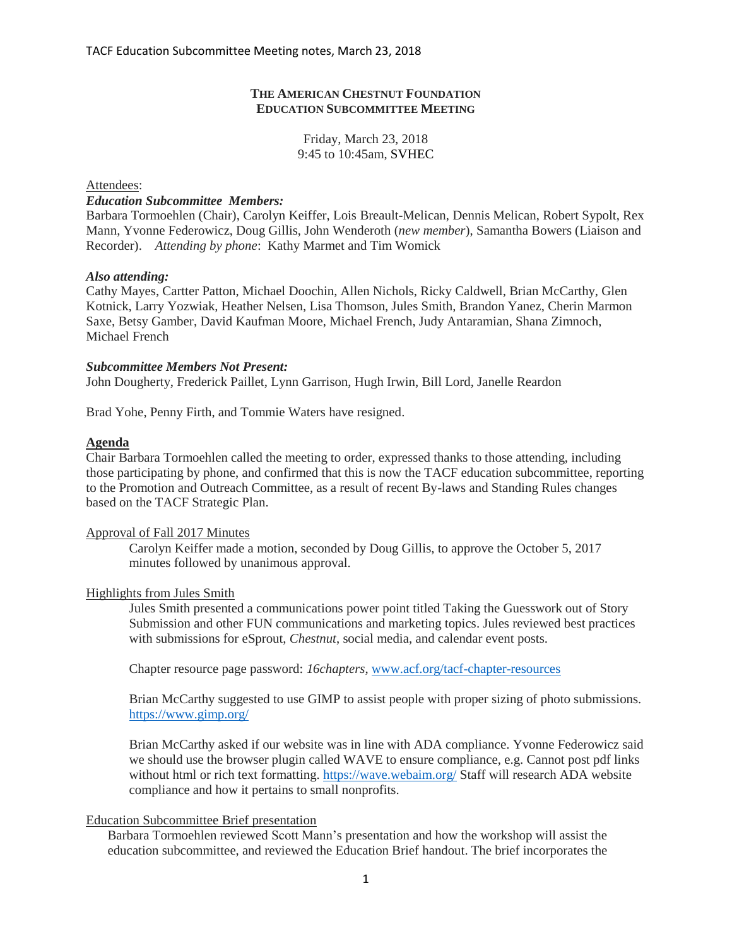# **THE AMERICAN CHESTNUT FOUNDATION EDUCATION SUBCOMMITTEE MEETING**

# Friday, March 23, 2018 9:45 to 10:45am, SVHEC

Attendees:

### *Education Subcommittee Members:*

Barbara Tormoehlen (Chair), Carolyn Keiffer, Lois Breault-Melican, Dennis Melican, Robert Sypolt, Rex Mann, Yvonne Federowicz, Doug Gillis, John Wenderoth (*new member*), Samantha Bowers (Liaison and Recorder). *Attending by phone*: Kathy Marmet and Tim Womick

# *Also attending:*

Cathy Mayes, Cartter Patton, Michael Doochin, Allen Nichols, Ricky Caldwell, Brian McCarthy, Glen Kotnick, Larry Yozwiak, Heather Nelsen, Lisa Thomson, Jules Smith, Brandon Yanez, Cherin Marmon Saxe, Betsy Gamber, David Kaufman Moore, Michael French, Judy Antaramian, Shana Zimnoch, Michael French

### *Subcommittee Members Not Present:*

John Dougherty, Frederick Paillet, Lynn Garrison, Hugh Irwin, Bill Lord, Janelle Reardon

Brad Yohe, Penny Firth, and Tommie Waters have resigned.

### **Agenda**

Chair Barbara Tormoehlen called the meeting to order, expressed thanks to those attending, including those participating by phone, and confirmed that this is now the TACF education subcommittee, reporting to the Promotion and Outreach Committee, as a result of recent By-laws and Standing Rules changes based on the TACF Strategic Plan.

# Approval of Fall 2017 Minutes

Carolyn Keiffer made a motion, seconded by Doug Gillis, to approve the October 5, 2017 minutes followed by unanimous approval.

#### Highlights from Jules Smith

Jules Smith presented a communications power point titled Taking the Guesswork out of Story Submission and other FUN communications and marketing topics. Jules reviewed best practices with submissions for eSprout, *Chestnut*, social media, and calendar event posts.

Chapter resource page password: *16chapters*, [www.acf.org/tacf-chapter-resources](http://www.acf.org/tacf-chapter-resources)

Brian McCarthy suggested to use GIMP to assist people with proper sizing of photo submissions. <https://www.gimp.org/>

Brian McCarthy asked if our website was in line with ADA compliance. Yvonne Federowicz said we should use the browser plugin called WAVE to ensure compliance, e.g. Cannot post pdf links without html or rich text formatting.<https://wave.webaim.org/> Staff will research ADA website compliance and how it pertains to small nonprofits.

# Education Subcommittee Brief presentation

Barbara Tormoehlen reviewed Scott Mann's presentation and how the workshop will assist the education subcommittee, and reviewed the Education Brief handout. The brief incorporates the